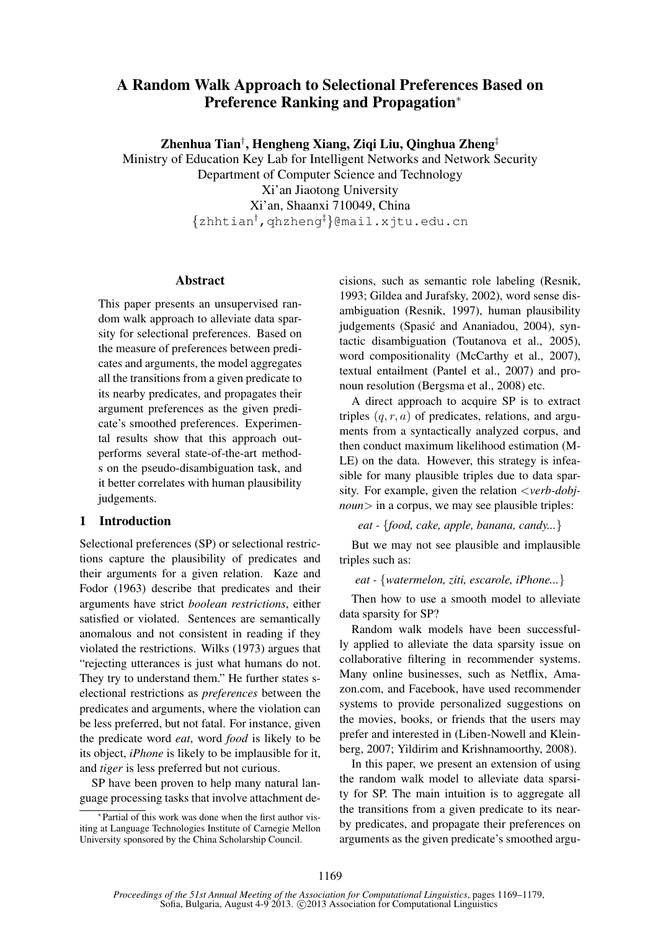# A Random Walk Approach to Selectional Preferences Based on Preference Ranking and Propagation<sup>∗</sup>

Zhenhua Tian† , Hengheng Xiang, Ziqi Liu, Qinghua Zheng‡

Ministry of Education Key Lab for Intelligent Networks and Network Security Department of Computer Science and Technology Xi'an Jiaotong University Xi'an, Shaanxi 710049, China {zhhtian†,qhzheng‡}@mail.xjtu.edu.cn

#### Abstract

This paper presents an unsupervised random walk approach to alleviate data sparsity for selectional preferences. Based on the measure of preferences between predicates and arguments, the model aggregates all the transitions from a given predicate to its nearby predicates, and propagates their argument preferences as the given predicate's smoothed preferences. Experimental results show that this approach outperforms several state-of-the-art methods on the pseudo-disambiguation task, and it better correlates with human plausibility judgements.

### 1 Introduction

Selectional preferences (SP) or selectional restrictions capture the plausibility of predicates and their arguments for a given relation. Kaze and Fodor (1963) describe that predicates and their arguments have strict *boolean restrictions*, either satisfied or violated. Sentences are semantically anomalous and not consistent in reading if they violated the restrictions. Wilks (1973) argues that "rejecting utterances is just what humans do not. They try to understand them." He further states selectional restrictions as *preferences* between the predicates and arguments, where the violation can be less preferred, but not fatal. For instance, given the predicate word *eat*, word *food* is likely to be its object, *iPhone* is likely to be implausible for it, and *tiger* is less preferred but not curious.

SP have been proven to help many natural language processing tasks that involve attachment de-

cisions, such as semantic role labeling (Resnik, 1993; Gildea and Jurafsky, 2002), word sense disambiguation (Resnik, 1997), human plausibility judgements (Spasić and Ananiadou, 2004), syntactic disambiguation (Toutanova et al., 2005), word compositionality (McCarthy et al., 2007), textual entailment (Pantel et al., 2007) and pronoun resolution (Bergsma et al., 2008) etc.

A direct approach to acquire SP is to extract triples  $(q, r, a)$  of predicates, relations, and arguments from a syntactically analyzed corpus, and then conduct maximum likelihood estimation (M-LE) on the data. However, this strategy is infeasible for many plausible triples due to data sparsity. For example, given the relation <*verb-dobjnoun* in a corpus, we may see plausible triples:

*eat -* {*food, cake, apple, banana, candy...*}

But we may not see plausible and implausible triples such as:

*eat -* {*watermelon, ziti, escarole, iPhone...*}

Then how to use a smooth model to alleviate data sparsity for SP?

Random walk models have been successfully applied to alleviate the data sparsity issue on collaborative filtering in recommender systems. Many online businesses, such as Netflix, Amazon.com, and Facebook, have used recommender systems to provide personalized suggestions on the movies, books, or friends that the users may prefer and interested in (Liben-Nowell and Kleinberg, 2007; Yildirim and Krishnamoorthy, 2008).

In this paper, we present an extension of using the random walk model to alleviate data sparsity for SP. The main intuition is to aggregate all the transitions from a given predicate to its nearby predicates, and propagate their preferences on arguments as the given predicate's smoothed argu-

<sup>∗</sup> Partial of this work was done when the first author visiting at Language Technologies Institute of Carnegie Mellon University sponsored by the China Scholarship Council.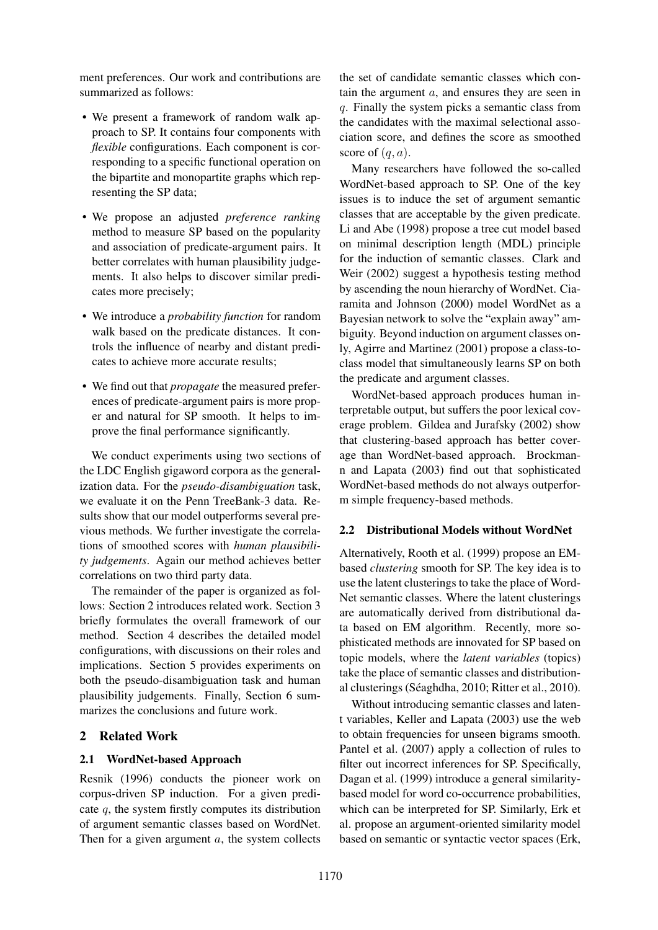ment preferences. Our work and contributions are summarized as follows:

- We present a framework of random walk approach to SP. It contains four components with *flexible* configurations. Each component is corresponding to a specific functional operation on the bipartite and monopartite graphs which representing the SP data;
- We propose an adjusted *preference ranking* method to measure SP based on the popularity and association of predicate-argument pairs. It better correlates with human plausibility judgements. It also helps to discover similar predicates more precisely;
- We introduce a *probability function* for random walk based on the predicate distances. It controls the influence of nearby and distant predicates to achieve more accurate results;
- We find out that *propagate* the measured preferences of predicate-argument pairs is more proper and natural for SP smooth. It helps to improve the final performance significantly.

We conduct experiments using two sections of the LDC English gigaword corpora as the generalization data. For the *pseudo-disambiguation* task, we evaluate it on the Penn TreeBank-3 data. Results show that our model outperforms several previous methods. We further investigate the correlations of smoothed scores with *human plausibility judgements*. Again our method achieves better correlations on two third party data.

The remainder of the paper is organized as follows: Section 2 introduces related work. Section 3 briefly formulates the overall framework of our method. Section 4 describes the detailed model configurations, with discussions on their roles and implications. Section 5 provides experiments on both the pseudo-disambiguation task and human plausibility judgements. Finally, Section 6 summarizes the conclusions and future work.

### 2 Related Work

### 2.1 WordNet-based Approach

Resnik (1996) conducts the pioneer work on corpus-driven SP induction. For a given predicate  $q$ , the system firstly computes its distribution of argument semantic classes based on WordNet. Then for a given argument  $a$ , the system collects the set of candidate semantic classes which contain the argument  $a$ , and ensures they are seen in q. Finally the system picks a semantic class from the candidates with the maximal selectional association score, and defines the score as smoothed score of  $(q, a)$ .

Many researchers have followed the so-called WordNet-based approach to SP. One of the key issues is to induce the set of argument semantic classes that are acceptable by the given predicate. Li and Abe (1998) propose a tree cut model based on minimal description length (MDL) principle for the induction of semantic classes. Clark and Weir (2002) suggest a hypothesis testing method by ascending the noun hierarchy of WordNet. Ciaramita and Johnson (2000) model WordNet as a Bayesian network to solve the "explain away" ambiguity. Beyond induction on argument classes only, Agirre and Martinez (2001) propose a class-toclass model that simultaneously learns SP on both the predicate and argument classes.

WordNet-based approach produces human interpretable output, but suffers the poor lexical coverage problem. Gildea and Jurafsky (2002) show that clustering-based approach has better coverage than WordNet-based approach. Brockmann and Lapata (2003) find out that sophisticated WordNet-based methods do not always outperform simple frequency-based methods.

### 2.2 Distributional Models without WordNet

Alternatively, Rooth et al. (1999) propose an EMbased *clustering* smooth for SP. The key idea is to use the latent clusterings to take the place of Word-Net semantic classes. Where the latent clusterings are automatically derived from distributional data based on EM algorithm. Recently, more sophisticated methods are innovated for SP based on topic models, where the *latent variables* (topics) take the place of semantic classes and distributional clusterings (Séaghdha, 2010; Ritter et al., 2010).

Without introducing semantic classes and latent variables, Keller and Lapata (2003) use the web to obtain frequencies for unseen bigrams smooth. Pantel et al. (2007) apply a collection of rules to filter out incorrect inferences for SP. Specifically, Dagan et al. (1999) introduce a general similaritybased model for word co-occurrence probabilities, which can be interpreted for SP. Similarly, Erk et al. propose an argument-oriented similarity model based on semantic or syntactic vector spaces (Erk,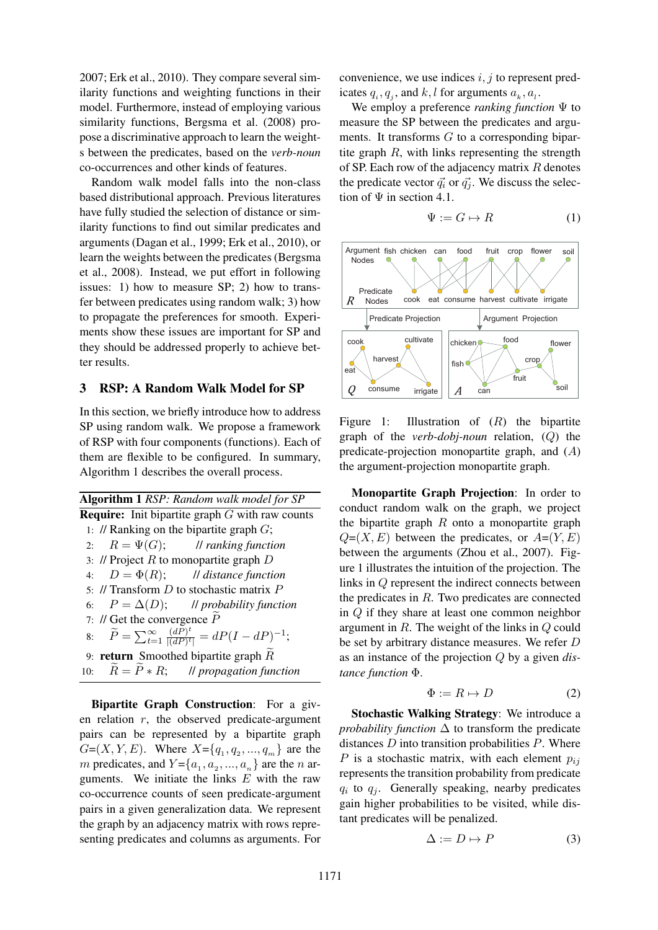2007; Erk et al., 2010). They compare several similarity functions and weighting functions in their model. Furthermore, instead of employing various similarity functions, Bergsma et al. (2008) propose a discriminative approach to learn the weights between the predicates, based on the *verb-noun* co-occurrences and other kinds of features.

Random walk model falls into the non-class based distributional approach. Previous literatures have fully studied the selection of distance or similarity functions to find out similar predicates and arguments (Dagan et al., 1999; Erk et al., 2010), or learn the weights between the predicates (Bergsma et al., 2008). Instead, we put effort in following issues: 1) how to measure SP; 2) how to transfer between predicates using random walk; 3) how to propagate the preferences for smooth. Experiments show these issues are important for SP and they should be addressed properly to achieve better results.

#### 3 RSP: A Random Walk Model for SP

In this section, we briefly introduce how to address SP using random walk. We propose a framework of RSP with four components (functions). Each of them are flexible to be configured. In summary, Algorithm 1 describes the overall process.

Algorithm 1 *RSP: Random walk model for SP* **Require:** Init bipartite graph  $G$  with raw counts 1: // Ranking on the bipartite graph  $G$ ; 2:  $R = \Psi(G)$ ; // *ranking function* 3: // Project  $R$  to monopartite graph  $D$ 4:  $D = \Phi(R)$ ; // *distance function* 5: // Transform D to stochastic matrix P 6:  $P = \Delta(D)$ ; // *probability function* 7: // Get the convergence  $\overline{P}$ 8:  $\widetilde{P} = \sum_{t=1}^{\infty}$  $(dP)^t$  $\frac{(dP)^{i}}{|(dP)^{t}|} = dP(I - dP)^{-1};$ 9: **return** Smoothed bipartite graph R<br>10:  $\widetilde{R} = \widetilde{P} * R$ ; *|| propagation fun* 10: Re = Pe ∗ R; // *propagation function*

Bipartite Graph Construction: For a given relation  $r$ , the observed predicate-argument pairs can be represented by a bipartite graph  $G=(X, Y, E)$ . Where  $X = \{q_1, q_2, ..., q_m\}$  are the m predicates, and  $Y = \{a_1, a_2, ..., a_n\}$  are the n arguments. We initiate the links  $E$  with the raw co-occurrence counts of seen predicate-argument pairs in a given generalization data. We represent the graph by an adjacency matrix with rows representing predicates and columns as arguments. For convenience, we use indices  $i, j$  to represent predicates  $q_i, q_j$ , and  $k, l$  for arguments  $a_k, a_l$ .

We employ a preference *ranking function* Ψ to measure the SP between the predicates and arguments. It transforms  $G$  to a corresponding bipartite graph  $R$ , with links representing the strength of SP. Each row of the adjacency matrix  $R$  denotes the predicate vector  $\vec{q}_i$  or  $\vec{q}_i$ . We discuss the selection of  $\Psi$  in section 4.1.

$$
\Psi := G \mapsto R \tag{1}
$$



Figure 1: Illustration of  $(R)$  the bipartite graph of the *verb-dobj-noun* relation, (Q) the predicate-projection monopartite graph, and  $(A)$ the argument-projection monopartite graph.

Monopartite Graph Projection: In order to conduct random walk on the graph, we project the bipartite graph  $R$  onto a monopartite graph  $Q=(X, E)$  between the predicates, or  $A=(Y, E)$ between the arguments (Zhou et al., 2007). Figure 1 illustrates the intuition of the projection. The links in Q represent the indirect connects between the predicates in  $R$ . Two predicates are connected in Q if they share at least one common neighbor argument in R. The weight of the links in Q could be set by arbitrary distance measures. We refer D as an instance of the projection Q by a given *distance function* Φ.

$$
\Phi := R \mapsto D \tag{2}
$$

Stochastic Walking Strategy: We introduce a *probability function*  $\Delta$  to transform the predicate distances  $D$  into transition probabilities  $P$ . Where P is a stochastic matrix, with each element  $p_{ij}$ represents the transition probability from predicate  $q_i$  to  $q_j$ . Generally speaking, nearby predicates gain higher probabilities to be visited, while distant predicates will be penalized.

$$
\Delta := D \mapsto P \tag{3}
$$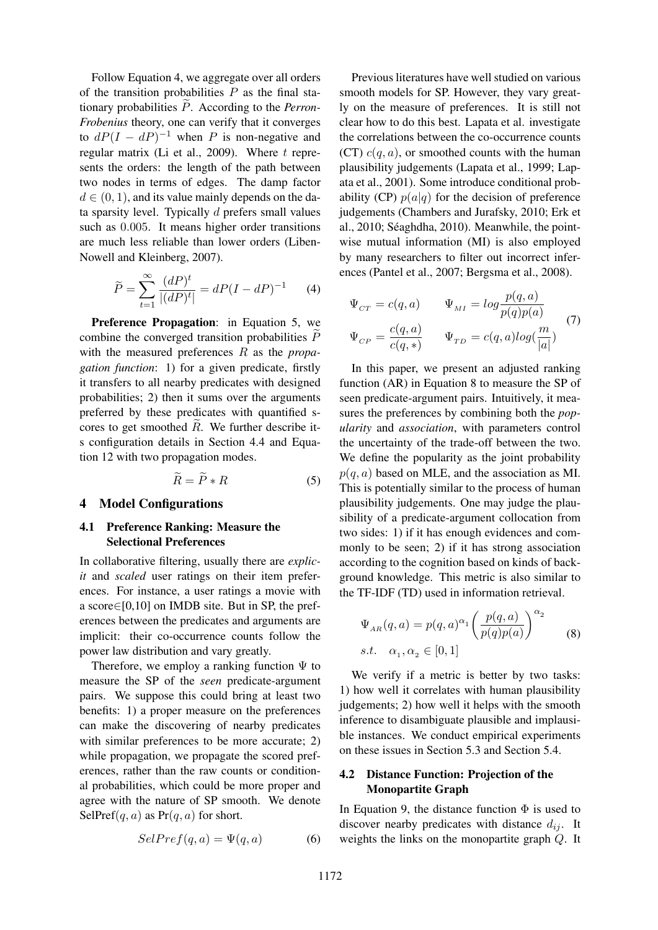Follow Equation 4, we aggregate over all orders of the transition probabilities  $P$  as the final stationary probabilities  $\tilde{P}$ . According to the *Perron*-*Frobenius* theory, one can verify that it converges to  $dP(I - dP)^{-1}$  when P is non-negative and regular matrix (Li et al., 2009). Where  $t$  represents the orders: the length of the path between two nodes in terms of edges. The damp factor  $d \in (0, 1)$ , and its value mainly depends on the data sparsity level. Typically  $d$  prefers small values such as 0.005. It means higher order transitions are much less reliable than lower orders (Liben-Nowell and Kleinberg, 2007).

$$
\widetilde{P} = \sum_{t=1}^{\infty} \frac{(dP)^t}{|(dP)^t|} = dP(I - dP)^{-1} \tag{4}
$$

Preference Propagation: in Equation 5, we combine the converged transition probabilities  $P$ with the measured preferences R as the *propagation function*: 1) for a given predicate, firstly it transfers to all nearby predicates with designed probabilities; 2) then it sums over the arguments preferred by these predicates with quantified scores to get smoothed  $R$ . We further describe its configuration details in Section 4.4 and Equation 12 with two propagation modes.

$$
\widetilde{R} = \widetilde{P} * R \tag{5}
$$

#### 4 Model Configurations

### 4.1 Preference Ranking: Measure the Selectional Preferences

In collaborative filtering, usually there are *explicit* and *scaled* user ratings on their item preferences. For instance, a user ratings a movie with a score∈[0,10] on IMDB site. But in SP, the preferences between the predicates and arguments are implicit: their co-occurrence counts follow the power law distribution and vary greatly.

Therefore, we employ a ranking function  $\Psi$  to measure the SP of the *seen* predicate-argument pairs. We suppose this could bring at least two benefits: 1) a proper measure on the preferences can make the discovering of nearby predicates with similar preferences to be more accurate; 2) while propagation, we propagate the scored preferences, rather than the raw counts or conditional probabilities, which could be more proper and agree with the nature of SP smooth. We denote SelPref(q, a) as  $Pr(q, a)$  for short.

$$
Selfref(q, a) = \Psi(q, a)
$$
 (6)

Previous literatures have well studied on various smooth models for SP. However, they vary greatly on the measure of preferences. It is still not clear how to do this best. Lapata et al. investigate the correlations between the co-occurrence counts (CT)  $c(q, a)$ , or smoothed counts with the human plausibility judgements (Lapata et al., 1999; Lapata et al., 2001). Some introduce conditional probability (CP)  $p(a|q)$  for the decision of preference judgements (Chambers and Jurafsky, 2010; Erk et al., 2010; Séaghdha, 2010). Meanwhile, the pointwise mutual information (MI) is also employed by many researchers to filter out incorrect inferences (Pantel et al., 2007; Bergsma et al., 2008).

$$
\Psi_{CT} = c(q, a) \qquad \Psi_{MI} = log \frac{p(q, a)}{p(q)p(a)}
$$
\n
$$
\Psi_{CP} = \frac{c(q, a)}{c(q, *)} \qquad \Psi_{TD} = c(q, a)log(\frac{m}{|a|})
$$
\n(7)

In this paper, we present an adjusted ranking function (AR) in Equation 8 to measure the SP of seen predicate-argument pairs. Intuitively, it measures the preferences by combining both the *popularity* and *association*, with parameters control the uncertainty of the trade-off between the two. We define the popularity as the joint probability  $p(q, a)$  based on MLE, and the association as MI. This is potentially similar to the process of human plausibility judgements. One may judge the plausibility of a predicate-argument collocation from two sides: 1) if it has enough evidences and commonly to be seen; 2) if it has strong association according to the cognition based on kinds of background knowledge. This metric is also similar to the TF-IDF (TD) used in information retrieval.

$$
\Psi_{AR}(q, a) = p(q, a)^{\alpha_1} \left(\frac{p(q, a)}{p(q)p(a)}\right)^{\alpha_2}
$$
  
s.t.  $\alpha_1, \alpha_2 \in [0, 1]$  (8)

We verify if a metric is better by two tasks: 1) how well it correlates with human plausibility judgements; 2) how well it helps with the smooth inference to disambiguate plausible and implausible instances. We conduct empirical experiments on these issues in Section 5.3 and Section 5.4.

#### 4.2 Distance Function: Projection of the Monopartite Graph

In Equation 9, the distance function  $\Phi$  is used to discover nearby predicates with distance  $d_{ij}$ . It weights the links on the monopartite graph Q. It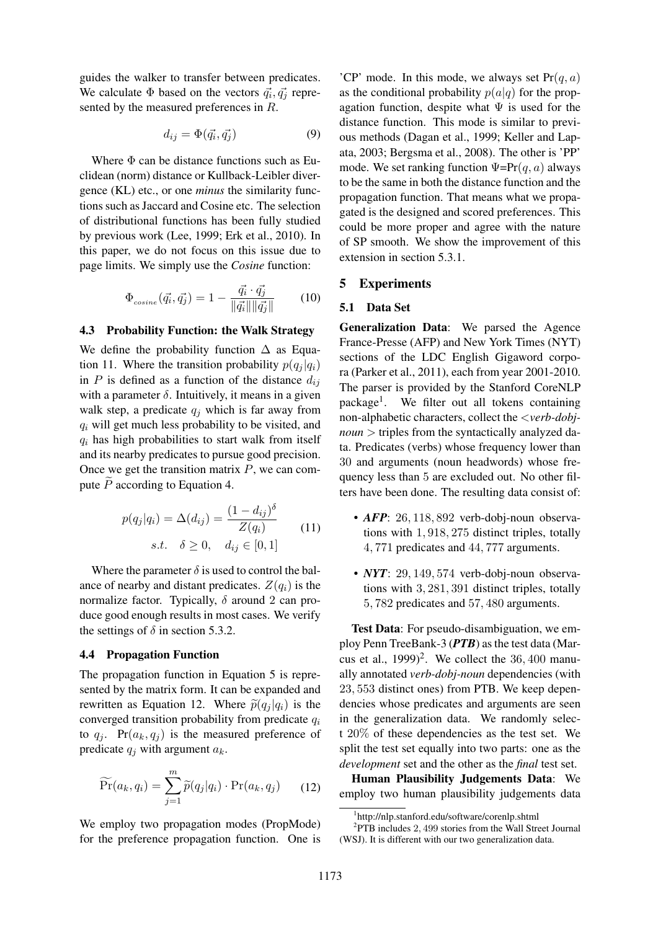guides the walker to transfer between predicates. We calculate  $\Phi$  based on the vectors  $\vec{q}_i, \vec{q}_j$  represented by the measured preferences in R.

$$
d_{ij} = \Phi(\vec{q_i}, \vec{q_j}) \tag{9}
$$

Where  $\Phi$  can be distance functions such as Euclidean (norm) distance or Kullback-Leibler divergence (KL) etc., or one *minus* the similarity functions such as Jaccard and Cosine etc. The selection of distributional functions has been fully studied by previous work (Lee, 1999; Erk et al., 2010). In this paper, we do not focus on this issue due to page limits. We simply use the *Cosine* function:

$$
\Phi_{cosine}(\vec{q_i}, \vec{q_j}) = 1 - \frac{\vec{q_i} \cdot \vec{q_j}}{\|\vec{q_i}\| \|\vec{q_j}\|} \tag{10}
$$

#### 4.3 Probability Function: the Walk Strategy

We define the probability function  $\Delta$  as Equation 11. Where the transition probability  $p(q_i | q_i)$ in  $P$  is defined as a function of the distance  $d_{ij}$ with a parameter  $\delta$ . Intuitively, it means in a given walk step, a predicate  $q_i$  which is far away from  $q_i$  will get much less probability to be visited, and  $q_i$  has high probabilities to start walk from itself and its nearby predicates to pursue good precision. Once we get the transition matrix  $P$ , we can compute  $P$  according to Equation 4.

$$
p(q_j|q_i) = \Delta(d_{ij}) = \frac{(1-d_{ij})^{\delta}}{Z(q_i)}
$$
  
s.t.  $\delta \ge 0$ ,  $d_{ij} \in [0,1]$  (11)

Where the parameter  $\delta$  is used to control the balance of nearby and distant predicates.  $Z(q_i)$  is the normalize factor. Typically,  $\delta$  around 2 can produce good enough results in most cases. We verify the settings of  $\delta$  in section 5.3.2.

#### 4.4 Propagation Function

The propagation function in Equation 5 is represented by the matrix form. It can be expanded and rewritten as Equation 12. Where  $\tilde{p}(q_i | q_i)$  is the converged transition probability from predicate  $q_i$ to  $q_i$ . Pr $(a_k, q_i)$  is the measured preference of predicate  $q_i$  with argument  $a_k$ .

$$
\widetilde{\Pr}(a_k, q_i) = \sum_{j=1}^{m} \widetilde{p}(q_j|q_i) \cdot \Pr(a_k, q_j) \qquad (12)
$$

We employ two propagation modes (PropMode) for the preference propagation function. One is

'CP' mode. In this mode, we always set  $Pr(q, a)$ as the conditional probability  $p(a|q)$  for the propagation function, despite what  $\Psi$  is used for the distance function. This mode is similar to previous methods (Dagan et al., 1999; Keller and Lapata, 2003; Bergsma et al., 2008). The other is 'PP' mode. We set ranking function  $\Psi = Pr(q, a)$  always to be the same in both the distance function and the propagation function. That means what we propagated is the designed and scored preferences. This could be more proper and agree with the nature of SP smooth. We show the improvement of this extension in section 5.3.1.

#### 5 Experiments

#### 5.1 Data Set

Generalization Data: We parsed the Agence France-Presse (AFP) and New York Times (NYT) sections of the LDC English Gigaword corpora (Parker et al., 2011), each from year 2001-2010. The parser is provided by the Stanford CoreNLP  $package<sup>1</sup>$ . . We filter out all tokens containing non-alphabetic characters, collect the <*verb-dobjnoun* > triples from the syntactically analyzed data. Predicates (verbs) whose frequency lower than 30 and arguments (noun headwords) whose frequency less than 5 are excluded out. No other filters have been done. The resulting data consist of:

- *AFP*: 26, 118, 892 verb-dobj-noun observations with 1, 918, 275 distinct triples, totally 4, 771 predicates and 44, 777 arguments.
- *NYT*: 29, 149, 574 verb-dobj-noun observations with 3, 281, 391 distinct triples, totally 5, 782 predicates and 57, 480 arguments.

Test Data: For pseudo-disambiguation, we employ Penn TreeBank-3 (*PTB*) as the test data (Marcus et al.,  $1999$ <sup>2</sup>. We collect the 36, 400 manually annotated *verb-dobj-noun* dependencies (with 23, 553 distinct ones) from PTB. We keep dependencies whose predicates and arguments are seen in the generalization data. We randomly select 20% of these dependencies as the test set. We split the test set equally into two parts: one as the *development* set and the other as the *final* test set.

Human Plausibility Judgements Data: We employ two human plausibility judgements data

<sup>2</sup>PTB includes 2, 499 stories from the Wall Street Journal (WSJ). It is different with our two generalization data.

<sup>1</sup> http://nlp.stanford.edu/software/corenlp.shtml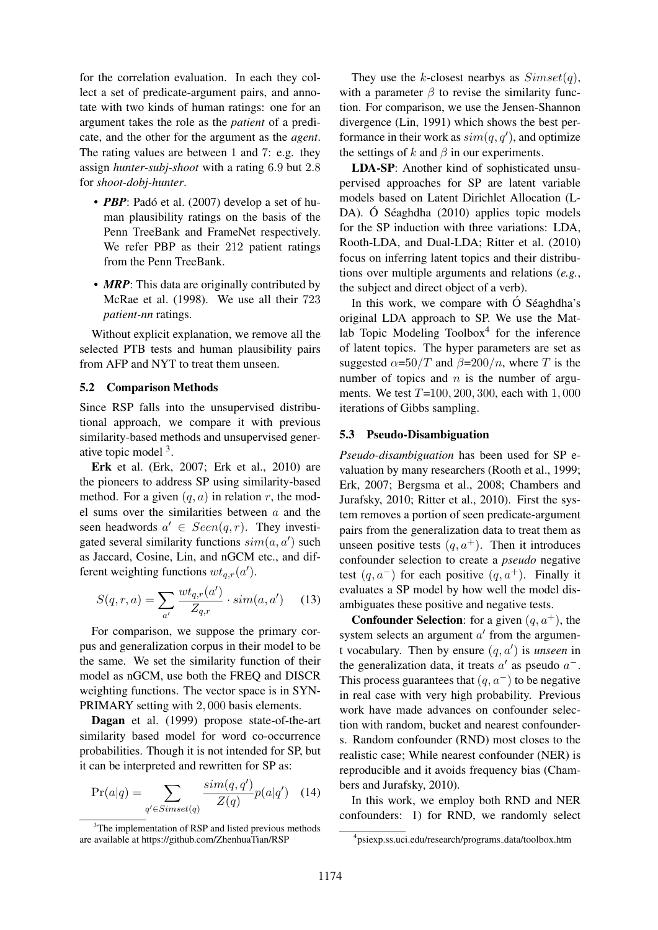for the correlation evaluation. In each they collect a set of predicate-argument pairs, and annotate with two kinds of human ratings: one for an argument takes the role as the *patient* of a predicate, and the other for the argument as the *agent*. The rating values are between 1 and 7: e.g. they assign *hunter-subj-shoot* with a rating 6.9 but 2.8 for *shoot-dobj-hunter*.

- *PBP*: Padó et al. (2007) develop a set of human plausibility ratings on the basis of the Penn TreeBank and FrameNet respectively. We refer PBP as their 212 patient ratings from the Penn TreeBank.
- **MRP**: This data are originally contributed by McRae et al. (1998). We use all their 723 *patient-nn* ratings.

Without explicit explanation, we remove all the selected PTB tests and human plausibility pairs from AFP and NYT to treat them unseen.

#### 5.2 Comparison Methods

Since RSP falls into the unsupervised distributional approach, we compare it with previous similarity-based methods and unsupervised generative topic model <sup>3</sup> .

Erk et al. (Erk, 2007; Erk et al., 2010) are the pioneers to address SP using similarity-based method. For a given  $(q, a)$  in relation r, the model sums over the similarities between a and the seen headwords  $a' \in \text{Seen}(q, r)$ . They investigated several similarity functions  $sim(a, a')$  such as Jaccard, Cosine, Lin, and nGCM etc., and different weighting functions  $wt_{q,r}(a')$ .

$$
S(q, r, a) = \sum_{a'} \frac{wt_{q,r}(a')}{Z_{q,r}} \cdot sim(a, a') \tag{13}
$$

For comparison, we suppose the primary corpus and generalization corpus in their model to be the same. We set the similarity function of their model as nGCM, use both the FREQ and DISCR weighting functions. The vector space is in SYN-PRIMARY setting with 2, 000 basis elements.

Dagan et al. (1999) propose state-of-the-art similarity based model for word co-occurrence probabilities. Though it is not intended for SP, but it can be interpreted and rewritten for SP as:

$$
Pr(a|q) = \sum_{q' \in Simset(q)} \frac{sim(q, q')}{Z(q)} p(a|q') \quad (14)
$$

They use the k-closest nearbys as  $Simset(q)$ , with a parameter  $\beta$  to revise the similarity function. For comparison, we use the Jensen-Shannon divergence (Lin, 1991) which shows the best performance in their work as  $sim(q, q')$ , and optimize the settings of k and  $\beta$  in our experiments.

LDA-SP: Another kind of sophisticated unsupervised approaches for SP are latent variable models based on Latent Dirichlet Allocation (L-DA). Ó Séaghdha  $(2010)$  applies topic models for the SP induction with three variations: LDA, Rooth-LDA, and Dual-LDA; Ritter et al. (2010) focus on inferring latent topics and their distributions over multiple arguments and relations (*e.g.*, the subject and direct object of a verb).

In this work, we compare with  $\acute{o}$  Séaghdha's original LDA approach to SP. We use the Matlab Topic Modeling Toolbox $4$  for the inference of latent topics. The hyper parameters are set as suggested  $\alpha=50/T$  and  $\beta=200/n$ , where T is the number of topics and  $n$  is the number of arguments. We test  $T=100, 200, 300$ , each with  $1,000$ iterations of Gibbs sampling.

#### 5.3 Pseudo-Disambiguation

*Pseudo-disambiguation* has been used for SP evaluation by many researchers (Rooth et al., 1999; Erk, 2007; Bergsma et al., 2008; Chambers and Jurafsky, 2010; Ritter et al., 2010). First the system removes a portion of seen predicate-argument pairs from the generalization data to treat them as unseen positive tests  $(q, a<sup>+</sup>)$ . Then it introduces confounder selection to create a *pseudo* negative test  $(q, a^-)$  for each positive  $(q, a^+)$ . Finally it evaluates a SP model by how well the model disambiguates these positive and negative tests.

**Confounder Selection**: for a given  $(q, a<sup>+</sup>)$ , the system selects an argument  $a'$  from the argument vocabulary. Then by ensure  $(q, a')$  is *unseen* in the generalization data, it treats  $a'$  as pseudo  $a^-$ . This process guarantees that  $(q, a<sup>-</sup>)$  to be negative in real case with very high probability. Previous work have made advances on confounder selection with random, bucket and nearest confounders. Random confounder (RND) most closes to the realistic case; While nearest confounder (NER) is reproducible and it avoids frequency bias (Chambers and Jurafsky, 2010).

In this work, we employ both RND and NER confounders: 1) for RND, we randomly select

 $3$ The implementation of RSP and listed previous methods are available at https://github.com/ZhenhuaTian/RSP

<sup>4</sup> psiexp.ss.uci.edu/research/programs data/toolbox.htm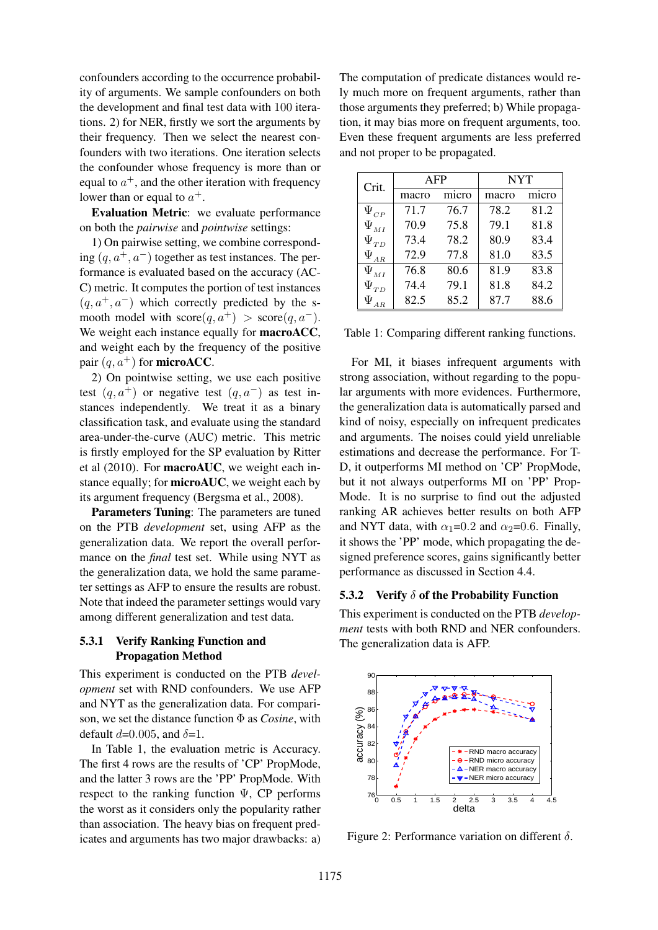confounders according to the occurrence probability of arguments. We sample confounders on both the development and final test data with 100 iterations. 2) for NER, firstly we sort the arguments by their frequency. Then we select the nearest confounders with two iterations. One iteration selects the confounder whose frequency is more than or equal to  $a^+$ , and the other iteration with frequency lower than or equal to  $a^+$ .

Evaluation Metric: we evaluate performance on both the *pairwise* and *pointwise* settings:

1) On pairwise setting, we combine corresponding  $(q, a^+, a^-)$  together as test instances. The performance is evaluated based on the accuracy (AC-C) metric. It computes the portion of test instances  $(q, a^+, a^-)$  which correctly predicted by the smooth model with  $score(q, a^+) > score(q, a^-)$ . We weight each instance equally for **macroACC**, and weight each by the frequency of the positive pair  $(q, a^+)$  for **microACC**.

2) On pointwise setting, we use each positive test  $(q, a^+)$  or negative test  $(q, a^-)$  as test instances independently. We treat it as a binary classification task, and evaluate using the standard area-under-the-curve (AUC) metric. This metric is firstly employed for the SP evaluation by Ritter et al (2010). For macroAUC, we weight each instance equally; for microAUC, we weight each by its argument frequency (Bergsma et al., 2008).

Parameters Tuning: The parameters are tuned on the PTB *development* set, using AFP as the generalization data. We report the overall performance on the *final* test set. While using NYT as the generalization data, we hold the same parameter settings as AFP to ensure the results are robust. Note that indeed the parameter settings would vary among different generalization and test data.

#### 5.3.1 Verify Ranking Function and Propagation Method

This experiment is conducted on the PTB *development* set with RND confounders. We use AFP and NYT as the generalization data. For comparison, we set the distance function Φ as *Cosine*, with default  $d=0.005$ , and  $\delta=1$ .

In Table 1, the evaluation metric is Accuracy. The first 4 rows are the results of 'CP' PropMode, and the latter 3 rows are the 'PP' PropMode. With respect to the ranking function  $\Psi$ , CP performs the worst as it considers only the popularity rather than association. The heavy bias on frequent predicates and arguments has two major drawbacks: a)

The computation of predicate distances would rely much more on frequent arguments, rather than those arguments they preferred; b) While propagation, it may bias more on frequent arguments, too. Even these frequent arguments are less preferred and not proper to be propagated.

| Crit.                | AFP   |       | <b>NYT</b> |       |  |
|----------------------|-------|-------|------------|-------|--|
|                      | macro | micro | macro      | micro |  |
| $\Psi_{CP}$          | 71.7  | 76.7  | 78.2       | 81.2  |  |
| $\Psi$ <sub>MI</sub> | 70.9  | 75.8  | 79.1       | 81.8  |  |
| $\Psi_{TD}$          | 73.4  | 78.2  | 80.9       | 83.4  |  |
| $\Psi_{_{AR}}$       | 72.9  | 77.8  | 81.0       | 83.5  |  |
| $\Psi_{MI}$          | 76.8  | 80.6  | 81.9       | 83.8  |  |
| $\Psi$ <sub>TD</sub> | 74.4  | 79.1  | 81.8       | 84.2  |  |
|                      | 82.5  | 85.2  | 87.7       | 88.6  |  |

Table 1: Comparing different ranking functions.

For MI, it biases infrequent arguments with strong association, without regarding to the popular arguments with more evidences. Furthermore, the generalization data is automatically parsed and kind of noisy, especially on infrequent predicates and arguments. The noises could yield unreliable estimations and decrease the performance. For T-D, it outperforms MI method on 'CP' PropMode, but it not always outperforms MI on 'PP' Prop-Mode. It is no surprise to find out the adjusted ranking AR achieves better results on both AFP and NYT data, with  $\alpha_1=0.2$  and  $\alpha_2=0.6$ . Finally, it shows the 'PP' mode, which propagating the designed preference scores, gains significantly better performance as discussed in Section 4.4.

#### 5.3.2 Verify  $\delta$  of the Probability Function

This experiment is conducted on the PTB *development* tests with both RND and NER confounders. The generalization data is AFP.



Figure 2: Performance variation on different  $\delta$ .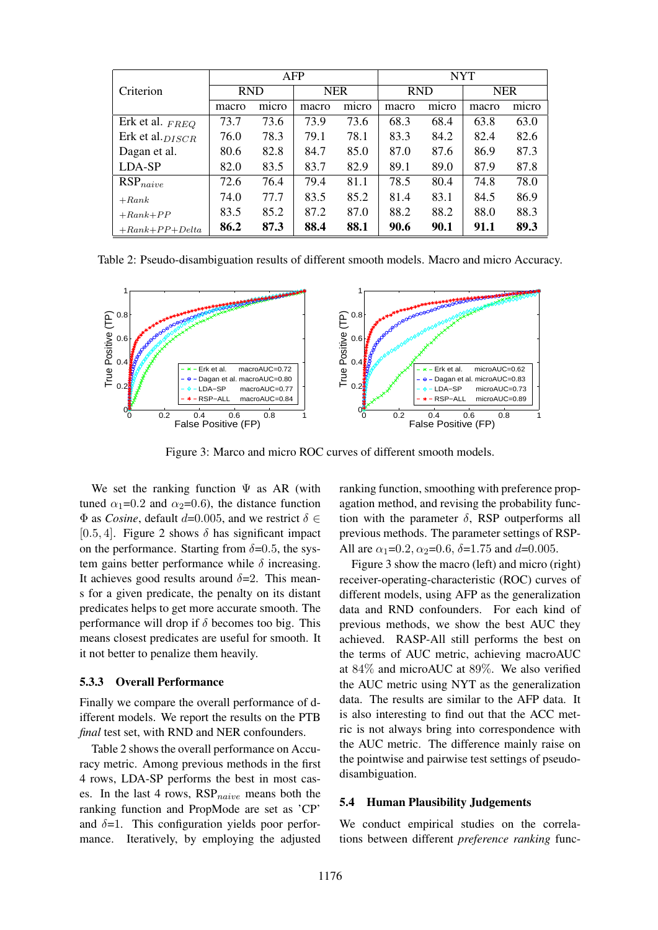|                      | AFP        |       |            | <b>NYT</b> |            |       |            |       |
|----------------------|------------|-------|------------|------------|------------|-------|------------|-------|
| Criterion            | <b>RND</b> |       | <b>NER</b> |            | <b>RND</b> |       | <b>NER</b> |       |
|                      | macro      | micro | macro      | micro      | macro      | micro | macro      | micro |
| Erk et al. $_{FREG}$ | 73.7       | 73.6  | 73.9       | 73.6       | 68.3       | 68.4  | 63.8       | 63.0  |
| Erk et al. DISCR     | 76.0       | 78.3  | 79.1       | 78.1       | 83.3       | 84.2  | 82.4       | 82.6  |
| Dagan et al.         | 80.6       | 82.8  | 84.7       | 85.0       | 87.0       | 87.6  | 86.9       | 87.3  |
| LDA-SP               | 82.0       | 83.5  | 83.7       | 82.9       | 89.1       | 89.0  | 87.9       | 87.8  |
| $RSP_{naive}$        | 72.6       | 76.4  | 79.4       | 81.1       | 78.5       | 80.4  | 74.8       | 78.0  |
| $+Rank$              | 74.0       | 77.7  | 83.5       | 85.2       | 81.4       | 83.1  | 84.5       | 86.9  |
| $+Rank+PP$           | 83.5       | 85.2  | 87.2       | 87.0       | 88.2       | 88.2  | 88.0       | 88.3  |
| $+Rank+PP+Delta$     | 86.2       | 87.3  | 88.4       | 88.1       | 90.6       | 90.1  | 91.1       | 89.3  |

Table 2: Pseudo-disambiguation results of different smooth models. Macro and micro Accuracy.



Figure 3: Marco and micro ROC curves of different smooth models.

We set the ranking function  $\Psi$  as AR (with tuned  $\alpha_1=0.2$  and  $\alpha_2=0.6$ ), the distance function  $Φ$  as *Cosine*, default *d*=0.005, and we restrict  $δ ∈$ [0.5, 4]. Figure 2 shows  $\delta$  has significant impact on the performance. Starting from  $\delta = 0.5$ , the system gains better performance while  $\delta$  increasing. It achieves good results around  $\delta = 2$ . This means for a given predicate, the penalty on its distant predicates helps to get more accurate smooth. The performance will drop if  $\delta$  becomes too big. This means closest predicates are useful for smooth. It it not better to penalize them heavily.

#### 5.3.3 Overall Performance

Finally we compare the overall performance of different models. We report the results on the PTB *final* test set, with RND and NER confounders.

Table 2 shows the overall performance on Accuracy metric. Among previous methods in the first 4 rows, LDA-SP performs the best in most cases. In the last 4 rows,  $RSP_{naive}$  means both the ranking function and PropMode are set as 'CP' and  $\delta = 1$ . This configuration yields poor performance. Iteratively, by employing the adjusted

ranking function, smoothing with preference propagation method, and revising the probability function with the parameter  $\delta$ , RSP outperforms all previous methods. The parameter settings of RSP-All are  $\alpha_1 = 0.2$ ,  $\alpha_2 = 0.6$ ,  $\delta = 1.75$  and  $d = 0.005$ .

Figure 3 show the macro (left) and micro (right) receiver-operating-characteristic (ROC) curves of different models, using AFP as the generalization data and RND confounders. For each kind of previous methods, we show the best AUC they achieved. RASP-All still performs the best on the terms of AUC metric, achieving macroAUC at 84% and microAUC at 89%. We also verified the AUC metric using NYT as the generalization data. The results are similar to the AFP data. It is also interesting to find out that the ACC metric is not always bring into correspondence with the AUC metric. The difference mainly raise on the pointwise and pairwise test settings of pseudodisambiguation.

#### 5.4 Human Plausibility Judgements

We conduct empirical studies on the correlations between different *preference ranking* func-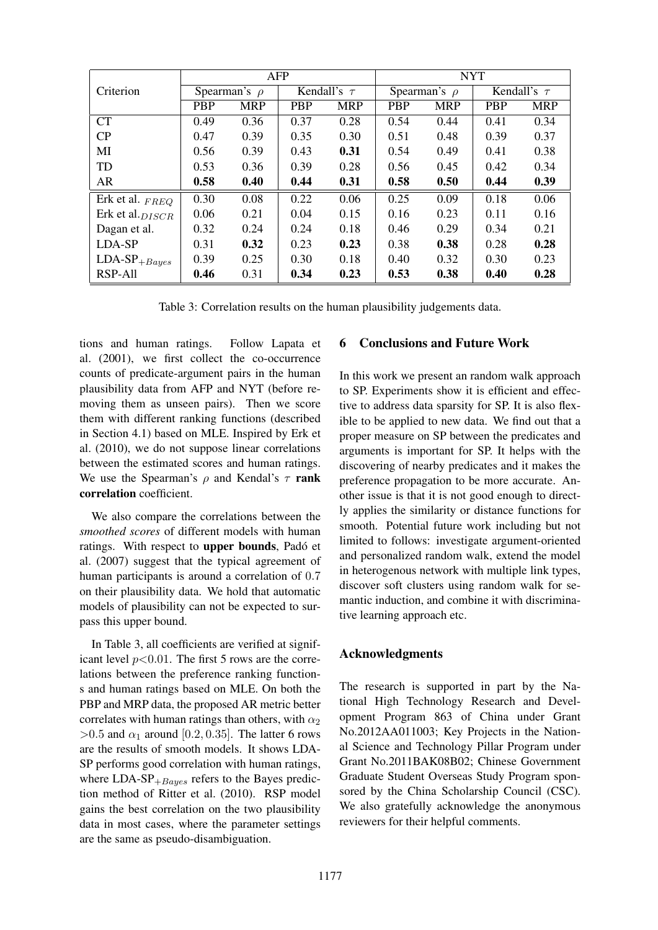|                                       | <b>AFP</b>        |            |                  | <b>NYT</b> |                   |            |                  |            |
|---------------------------------------|-------------------|------------|------------------|------------|-------------------|------------|------------------|------------|
| Criterion                             | Spearman's $\rho$ |            | Kendall's $\tau$ |            | Spearman's $\rho$ |            | Kendall's $\tau$ |            |
|                                       | <b>PBP</b>        | <b>MRP</b> | <b>PBP</b>       | <b>MRP</b> | <b>PBP</b>        | <b>MRP</b> | <b>PBP</b>       | <b>MRP</b> |
| CT                                    | 0.49              | 0.36       | 0.37             | 0.28       | 0.54              | 0.44       | 0.41             | 0.34       |
| CP                                    | 0.47              | 0.39       | 0.35             | 0.30       | 0.51              | 0.48       | 0.39             | 0.37       |
| MI                                    | 0.56              | 0.39       | 0.43             | 0.31       | 0.54              | 0.49       | 0.41             | 0.38       |
| TD                                    | 0.53              | 0.36       | 0.39             | 0.28       | 0.56              | 0.45       | 0.42             | 0.34       |
| AR                                    | 0.58              | 0.40       | 0.44             | 0.31       | 0.58              | 0.50       | 0.44             | 0.39       |
| Erk et al. FREQ                       | 0.30              | 0.08       | 0.22             | 0.06       | 0.25              | 0.09       | 0.18             | 0.06       |
| Erk et al. DISCR                      | 0.06              | 0.21       | 0.04             | 0.15       | 0.16              | 0.23       | 0.11             | 0.16       |
| Dagan et al.                          | 0.32              | 0.24       | 0.24             | 0.18       | 0.46              | 0.29       | 0.34             | 0.21       |
| LDA-SP                                | 0.31              | 0.32       | 0.23             | 0.23       | 0.38              | 0.38       | 0.28             | 0.28       |
| ${\rm LDA{\text -}SP_{+} }{}_{Bayes}$ | 0.39              | 0.25       | 0.30             | 0.18       | 0.40              | 0.32       | 0.30             | 0.23       |
| RSP-All                               | 0.46              | 0.31       | 0.34             | 0.23       | 0.53              | 0.38       | 0.40             | 0.28       |

Table 3: Correlation results on the human plausibility judgements data.

tions and human ratings. Follow Lapata et al. (2001), we first collect the co-occurrence counts of predicate-argument pairs in the human plausibility data from AFP and NYT (before removing them as unseen pairs). Then we score them with different ranking functions (described in Section 4.1) based on MLE. Inspired by Erk et al. (2010), we do not suppose linear correlations between the estimated scores and human ratings. We use the Spearman's  $\rho$  and Kendal's  $\tau$  rank correlation coefficient.

We also compare the correlations between the *smoothed scores* of different models with human ratings. With respect to upper bounds, Padó et al. (2007) suggest that the typical agreement of human participants is around a correlation of 0.7 on their plausibility data. We hold that automatic models of plausibility can not be expected to surpass this upper bound.

In Table 3, all coefficients are verified at significant level  $p<0.01$ . The first 5 rows are the correlations between the preference ranking functions and human ratings based on MLE. On both the PBP and MRP data, the proposed AR metric better correlates with human ratings than others, with  $\alpha_2$  $> 0.5$  and  $\alpha_1$  around [0.2, 0.35]. The latter 6 rows are the results of smooth models. It shows LDA-SP performs good correlation with human ratings, where  $LDA-SP_{+Baves}$  refers to the Bayes prediction method of Ritter et al. (2010). RSP model gains the best correlation on the two plausibility data in most cases, where the parameter settings are the same as pseudo-disambiguation.

### 6 Conclusions and Future Work

In this work we present an random walk approach to SP. Experiments show it is efficient and effective to address data sparsity for SP. It is also flexible to be applied to new data. We find out that a proper measure on SP between the predicates and arguments is important for SP. It helps with the discovering of nearby predicates and it makes the preference propagation to be more accurate. Another issue is that it is not good enough to directly applies the similarity or distance functions for smooth. Potential future work including but not limited to follows: investigate argument-oriented and personalized random walk, extend the model in heterogenous network with multiple link types, discover soft clusters using random walk for semantic induction, and combine it with discriminative learning approach etc.

## Acknowledgments

The research is supported in part by the National High Technology Research and Development Program 863 of China under Grant No.2012AA011003; Key Projects in the National Science and Technology Pillar Program under Grant No.2011BAK08B02; Chinese Government Graduate Student Overseas Study Program sponsored by the China Scholarship Council (CSC). We also gratefully acknowledge the anonymous reviewers for their helpful comments.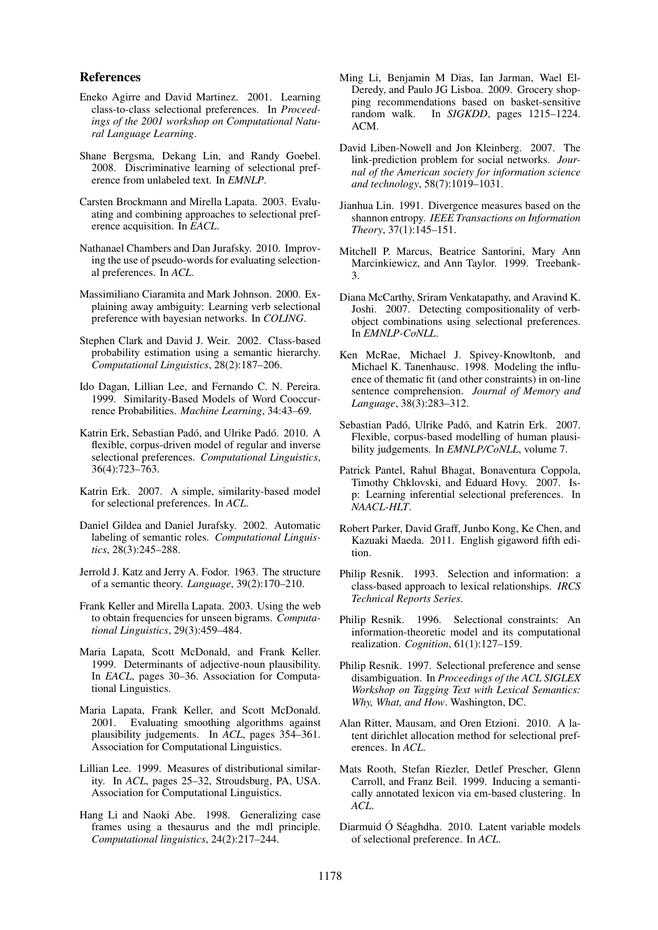#### References

- Eneko Agirre and David Martinez. 2001. Learning class-to-class selectional preferences. In *Proceedings of the 2001 workshop on Computational Natural Language Learning*.
- Shane Bergsma, Dekang Lin, and Randy Goebel. 2008. Discriminative learning of selectional preference from unlabeled text. In *EMNLP*.
- Carsten Brockmann and Mirella Lapata. 2003. Evaluating and combining approaches to selectional preference acquisition. In *EACL*.
- Nathanael Chambers and Dan Jurafsky. 2010. Improving the use of pseudo-words for evaluating selectional preferences. In *ACL*.
- Massimiliano Ciaramita and Mark Johnson. 2000. Explaining away ambiguity: Learning verb selectional preference with bayesian networks. In *COLING*.
- Stephen Clark and David J. Weir. 2002. Class-based probability estimation using a semantic hierarchy. *Computational Linguistics*, 28(2):187–206.
- Ido Dagan, Lillian Lee, and Fernando C. N. Pereira. 1999. Similarity-Based Models of Word Cooccurrence Probabilities. *Machine Learning*, 34:43–69.
- Katrin Erk, Sebastian Padó, and Ulrike Padó. 2010. A flexible, corpus-driven model of regular and inverse selectional preferences. *Computational Linguistics*, 36(4):723–763.
- Katrin Erk. 2007. A simple, similarity-based model for selectional preferences. In *ACL*.
- Daniel Gildea and Daniel Jurafsky. 2002. Automatic labeling of semantic roles. *Computational Linguistics*, 28(3):245–288.
- Jerrold J. Katz and Jerry A. Fodor. 1963. The structure of a semantic theory. *Language*, 39(2):170–210.
- Frank Keller and Mirella Lapata. 2003. Using the web to obtain frequencies for unseen bigrams. *Computational Linguistics*, 29(3):459–484.
- Maria Lapata, Scott McDonald, and Frank Keller. 1999. Determinants of adjective-noun plausibility. In *EACL*, pages 30–36. Association for Computational Linguistics.
- Maria Lapata, Frank Keller, and Scott McDonald. 2001. Evaluating smoothing algorithms against plausibility judgements. In *ACL*, pages 354–361. Association for Computational Linguistics.
- Lillian Lee. 1999. Measures of distributional similarity. In *ACL*, pages 25–32, Stroudsburg, PA, USA. Association for Computational Linguistics.
- Hang Li and Naoki Abe. 1998. Generalizing case frames using a thesaurus and the mdl principle. *Computational linguistics*, 24(2):217–244.
- Ming Li, Benjamin M Dias, Ian Jarman, Wael El-Deredy, and Paulo JG Lisboa. 2009. Grocery shopping recommendations based on basket-sensitive random walk. In *SIGKDD*, pages 1215–1224. ACM.
- David Liben-Nowell and Jon Kleinberg. 2007. The link-prediction problem for social networks. *Journal of the American society for information science and technology*, 58(7):1019–1031.
- Jianhua Lin. 1991. Divergence measures based on the shannon entropy. *IEEE Transactions on Information Theory*, 37(1):145–151.
- Mitchell P. Marcus, Beatrice Santorini, Mary Ann Marcinkiewicz, and Ann Taylor. 1999. Treebank-3.
- Diana McCarthy, Sriram Venkatapathy, and Aravind K. Joshi. 2007. Detecting compositionality of verbobject combinations using selectional preferences. In *EMNLP-CoNLL*.
- Ken McRae, Michael J. Spivey-Knowltonb, and Michael K. Tanenhausc. 1998. Modeling the influence of thematic fit (and other constraints) in on-line sentence comprehension. *Journal of Memory and Language*, 38(3):283–312.
- Sebastian Padó, Ulrike Padó, and Katrin Erk. 2007. Flexible, corpus-based modelling of human plausibility judgements. In *EMNLP/CoNLL*, volume 7.
- Patrick Pantel, Rahul Bhagat, Bonaventura Coppola, Timothy Chklovski, and Eduard Hovy. 2007. Isp: Learning inferential selectional preferences. In *NAACL-HLT*.
- Robert Parker, David Graff, Junbo Kong, Ke Chen, and Kazuaki Maeda. 2011. English gigaword fifth edition.
- Philip Resnik. 1993. Selection and information: a class-based approach to lexical relationships. *IRCS Technical Reports Series*.
- Philip Resnik. 1996. Selectional constraints: An information-theoretic model and its computational realization. *Cognition*, 61(1):127–159.
- Philip Resnik. 1997. Selectional preference and sense disambiguation. In *Proceedings of the ACL SIGLEX Workshop on Tagging Text with Lexical Semantics: Why, What, and How*. Washington, DC.
- Alan Ritter, Mausam, and Oren Etzioni. 2010. A latent dirichlet allocation method for selectional preferences. In *ACL*.
- Mats Rooth, Stefan Riezler, Detlef Prescher, Glenn Carroll, and Franz Beil. 1999. Inducing a semantically annotated lexicon via em-based clustering. In *ACL*.
- Diarmuid Ó Séaghdha. 2010. Latent variable models of selectional preference. In *ACL*.